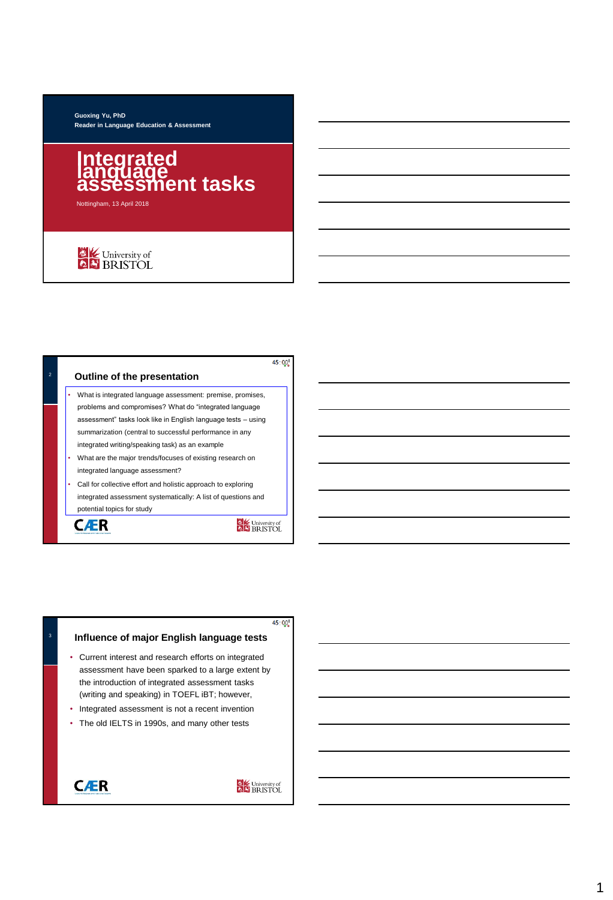#### **Guoxing Yu, PhD Reader in Language Education & Assessment**

# **Integrated<br>language<br>assessment tasks**

Nottingham, 13 April 2018

# University of

|                | 45:00'                                                        |
|----------------|---------------------------------------------------------------|
| $\overline{2}$ | <b>Outline of the presentation</b>                            |
|                | What is integrated language assessment: premise, promises,    |
|                | problems and compromises? What do "integrated language        |
|                | assessment" tasks look like in English language tests - using |
|                | summarization (central to successful performance in any       |
|                | integrated writing/speaking task) as an example               |
|                | What are the major trends/focuses of existing research on     |
|                | integrated language assessment?                               |
|                | Call for collective effort and holistic approach to exploring |
|                | integrated assessment systematically: A list of questions and |
|                | potential topics for study                                    |
|                | C <b>L</b> University of                                      |
|                |                                                               |

 $45:00^{8}$ 

#### **Influence of major English language tests**

- Current interest and research efforts on integrated assessment have been sparked to a large extent by the introduction of integrated assessment tasks (writing and speaking) in TOEFL iBT; however,
- Integrated assessment is not a recent invention
- The old IELTS in 1990s, and many other tests



3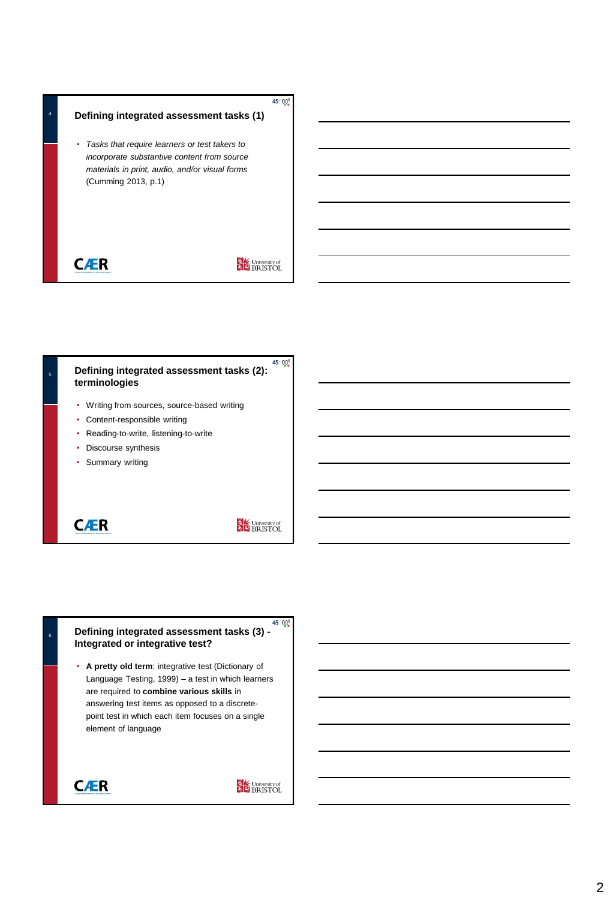#### **Defining integrated assessment tasks (1)**

• *Tasks that require learners or test takers to incorporate substantive content from source materials in print, audio, and/or visual forms*  (Cumming 2013, p.1)

**CÆR** 

4

# University of

 $45:00^{8}$ 



**CÆR** 

University of

## <sup>6</sup> **Defining integrated assessment tasks (3) - Integrated or integrative test?**

• **A pretty old term**: integrative test (Dictionary of Language Testing, 1999) – a test in which learners are required to **combine various skills** in answering test items as opposed to a discretepoint test in which each item focuses on a single element of language

**CÆR**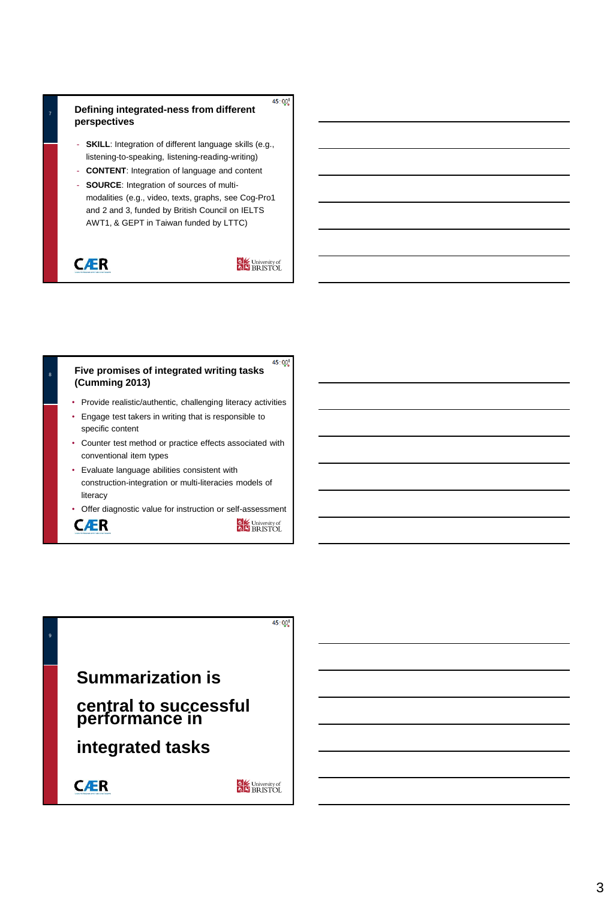8

#### **Defining integrated-ness from different perspectives**

- **SKILL**: Integration of different language skills (e.g., listening-to-speaking, listening-reading-writing)
- **CONTENT**: Integration of language and content
- **SOURCE**: Integration of sources of multimodalities (e.g., video, texts, graphs, see Cog-Pro1 and 2 and 3, funded by British Council on IELTS AWT1, & GEPT in Taiwan funded by LTTC)

**CÆR** 

University of

 $45:00^{8}$ 

#### $45:00^{8}$ **Five promises of integrated writing tasks (Cumming 2013)**

- Provide realistic/authentic, challenging literacy activities
- Engage test takers in writing that is responsible to specific content
- Counter test method or practice effects associated with conventional item types
- Evaluate language abilities consistent with construction-integration or multi-literacies models of literacy
- Offer diagnostic value for instruction or self-assessment



**B**<br>**A** BRISTOL

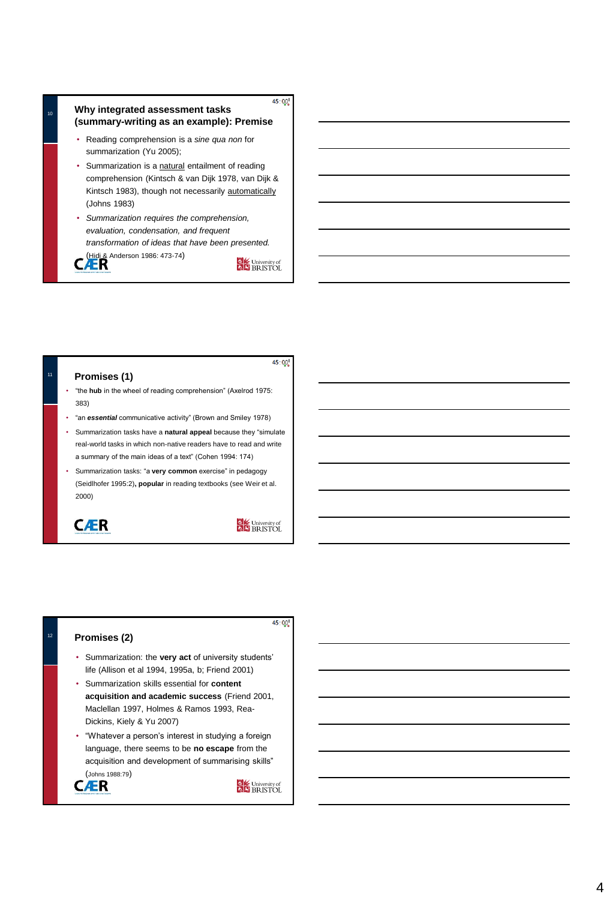#### $45:00^{8}$ <sup>10</sup> **Why integrated assessment tasks (summary-writing as an example): Premise**

- Reading comprehension is a *sine qua non* for summarization (Yu 2005);
- Summarization is a natural entailment of reading comprehension (Kintsch & van Dijk 1978, van Dijk & Kintsch 1983), though not necessarily automatically (Johns 1983)
- *Summarization requires the comprehension, evaluation, condensation, and frequent transformation of ideas that have been presented.*

(Hidi & Anderson 1986: 473-74)

University of

 $45:00^{8}$ 

# **Promises (1)**

- "the **hub** in the wheel of reading comprehension" (Axelrod 1975: 383)
- "an *essential* communicative activity" (Brown and Smiley 1978)
- Summarization tasks have a **natural appeal** because they "simulate real-world tasks in which non-native readers have to read and write a summary of the main ideas of a text" (Cohen 1994: 174)
- Summarization tasks: "a **very common** exercise" in pedagogy (Seidlhofer 1995:2)**, popular** in reading textbooks (see Weir et al. 2000)

**CÆR** 

University of

 $45:00^{8}$ 

#### <sup>12</sup> **Promises (2)**

- Summarization: the **very act** of university students' life (Allison et al 1994, 1995a, b; Friend 2001)
- Summarization skills essential for **content acquisition and academic success** (Friend 2001, Maclellan 1997, Holmes & Ramos 1993, Rea-Dickins, Kiely & Yu 2007)
- "Whatever a person's interest in studying a foreign language, there seems to be **no escape** from the acquisition and development of summarising skills" (Johns 1988:79)

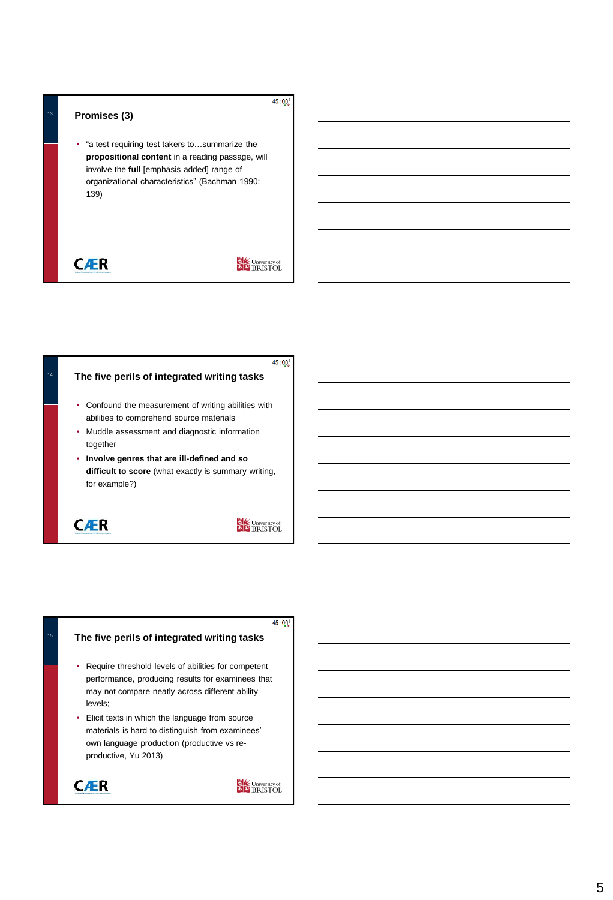#### **Promises (3)**

• "a test requiring test takers to…summarize the **propositional content** in a reading passage, will involve the **full** [emphasis added] range of organizational characteristics" (Bachman 1990: 139)

# **CÆR**

# University of

 $45:00^{8}$ 



#### $45:00^{8}$

#### **The five perils of integrated writing tasks**

- Require threshold levels of abilities for competent performance, producing results for examinees that may not compare neatly across different ability levels;
- Elicit texts in which the language from source materials is hard to distinguish from examinees' own language production (productive vs reproductive, Yu 2013)



15

**CALC** University of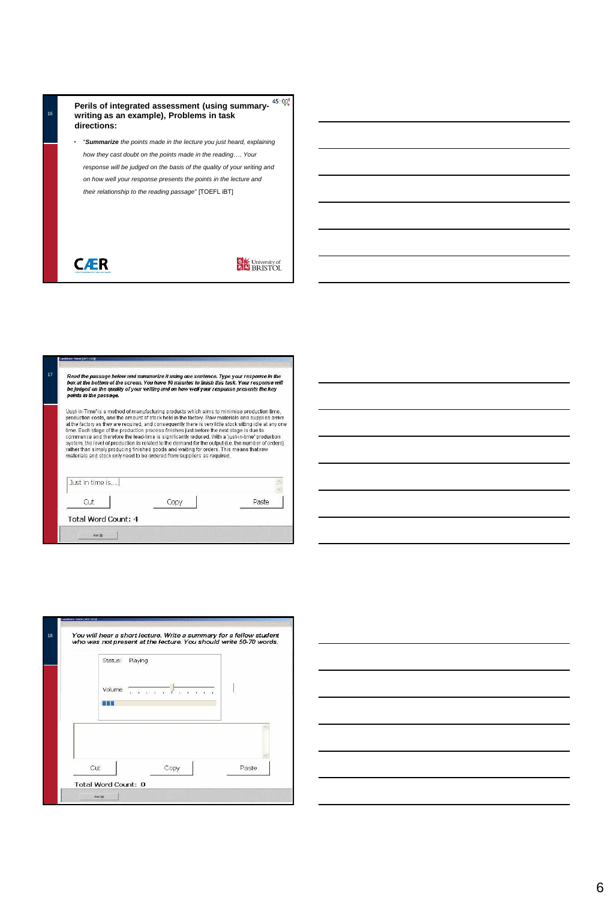

**CÆR** 

| Read the passage below and summarize it using one sentence. Type your response in the<br>box at the bottom of the screen. You have 10 minutes to finish this task. Your response will<br>be judged on the quality of your writing and on how well your response presents the key<br>points in the passage. |  |                                                                                                                                                                                                                                                                                                                                                                                                                                                                                                                                                                                                                                                                                                                                                                                         |  |  |
|------------------------------------------------------------------------------------------------------------------------------------------------------------------------------------------------------------------------------------------------------------------------------------------------------------|--|-----------------------------------------------------------------------------------------------------------------------------------------------------------------------------------------------------------------------------------------------------------------------------------------------------------------------------------------------------------------------------------------------------------------------------------------------------------------------------------------------------------------------------------------------------------------------------------------------------------------------------------------------------------------------------------------------------------------------------------------------------------------------------------------|--|--|
|                                                                                                                                                                                                                                                                                                            |  | Uust-in-Time' is a method of manufacturing products which aims to minimise production time,<br>production costs, and the amount of stock held in the factory. Raw materials and supplies arrive<br>at the factory as they are required, and consequently there is very little stock sitting idle at any one<br>time. Each stage of the production process finishes just before the next stage is due to<br>commence and therefore the lead-time is significantly reduced. With a 'just-in-time' production<br>system, the level of production is related to the demand for the output (i.e. the number of orders)<br>rather than simply producing finished goods and waiting for orders. This means that raw<br>materials and stock only need to be ordered from suppliers as required. |  |  |
|                                                                                                                                                                                                                                                                                                            |  |                                                                                                                                                                                                                                                                                                                                                                                                                                                                                                                                                                                                                                                                                                                                                                                         |  |  |
| Just in time is                                                                                                                                                                                                                                                                                            |  |                                                                                                                                                                                                                                                                                                                                                                                                                                                                                                                                                                                                                                                                                                                                                                                         |  |  |





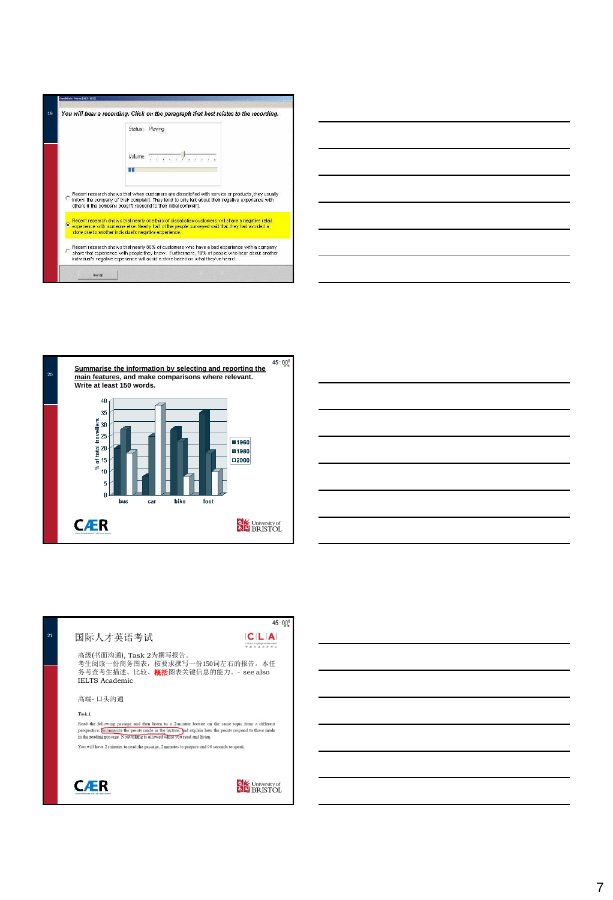|                                                                                                                                                                                                                                                                 | Status:                                                                                                                                                                                                                                                                      |  |  |
|-----------------------------------------------------------------------------------------------------------------------------------------------------------------------------------------------------------------------------------------------------------------|------------------------------------------------------------------------------------------------------------------------------------------------------------------------------------------------------------------------------------------------------------------------------|--|--|
|                                                                                                                                                                                                                                                                 | . 7 <i>.</i><br>Volume                                                                                                                                                                                                                                                       |  |  |
|                                                                                                                                                                                                                                                                 |                                                                                                                                                                                                                                                                              |  |  |
|                                                                                                                                                                                                                                                                 | Recent research shows that when customers are dissatisfied with service or products, they usually<br>inform the company of their complaint. They tend to only talk about their negative experience with<br>others if the company doesn't respond to their initial complaint. |  |  |
| Recent research shows that nearly one third of dissatisfied customers will share a negative retail<br>e experience with someone else. Nearly half of the people surveyed said that they had avoided a<br>store due to another individual's negative experience. |                                                                                                                                                                                                                                                                              |  |  |
|                                                                                                                                                                                                                                                                 |                                                                                                                                                                                                                                                                              |  |  |









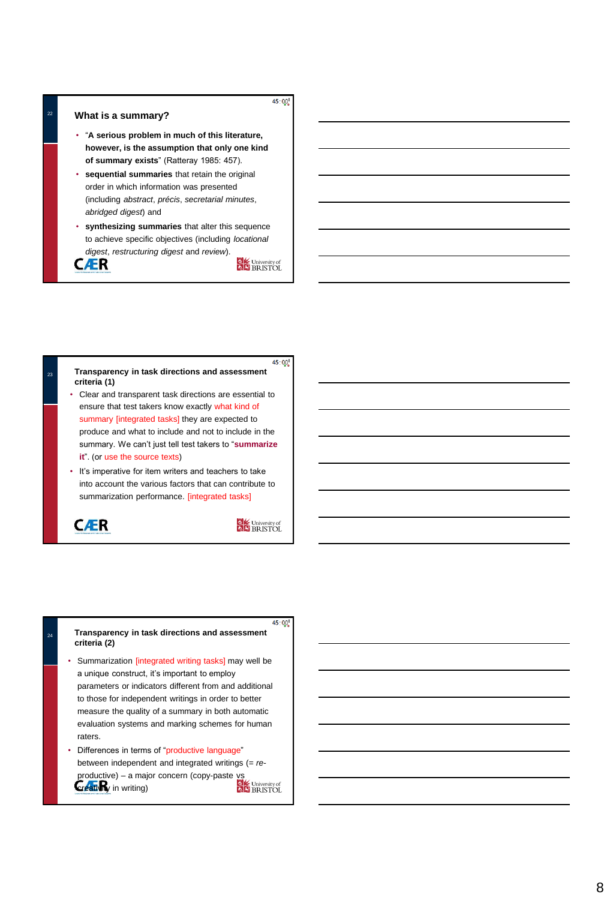#### <sup>22</sup> **What is a summary?**

- "**A serious problem in much of this literature, however, is the assumption that only one kind of summary exists**" (Ratteray 1985: 457).
- **sequential summaries** that retain the original order in which information was presented (including *abstract*, *précis*, *secretarial minutes*, *abridged digest*) and
- **synthesizing summaries** that alter this sequence to achieve specific objectives (including *locational digest*, *restructuring digest* and *review*).



University of



- ensure that test takers know exactly what kind of summary [integrated tasks] they are expected to produce and what to include and not to include in the summary. We can't just tell test takers to "**summarize it**". (or use the source texts)
- It's imperative for item writers and teachers to take into account the various factors that can contribute to summarization performance. [integrated tasks]

**CÆR** 

University of

 $45:00^{8}$ 

#### **Transparency in task directions and assessment criteria (2)**

- Summarization [integrated writing tasks] may well be a unique construct, it's important to employ parameters or indicators different from and additional to those for independent writings in order to better measure the quality of a summary in both automatic evaluation systems and marking schemes for human raters.
- Differences in terms of "productive language" between independent and integrated writings (= *re*productive) – a major concern (copy-paste vs) creativity in writing)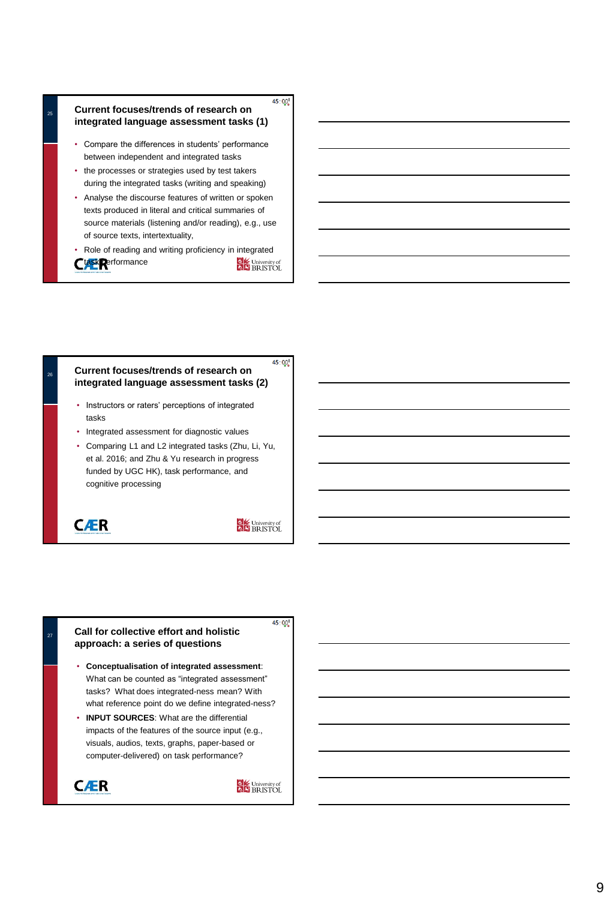#### $45:00^{8}$ **Current focuses/trends of research on integrated language assessment tasks (1)**

- Compare the differences in students' performance between independent and integrated tasks
- the processes or strategies used by test takers during the integrated tasks (writing and speaking)
- Analyse the discourse features of written or spoken texts produced in literal and critical summaries of source materials (listening and/or reading), e.g., use of source texts, intertextuality,
- Role of reading and writing proficiency in integrated Ctask **Refformance** University of

#### $45:00^{8}$ **Current focuses/trends of research on integrated language assessment tasks (2)**

- Instructors or raters' perceptions of integrated tasks
- Integrated assessment for diagnostic values
- Comparing L1 and L2 integrated tasks (Zhu, Li, Yu, et al. 2016; and Zhu & Yu research in progress funded by UGC HK), task performance, and cognitive processing

**CÆR** 

27

University of

 $45:00^{8}$ 

#### **Call for collective effort and holistic approach: a series of questions**

- **Conceptualisation of integrated assessment**: What can be counted as "integrated assessment" tasks? What does integrated-ness mean? With what reference point do we define integrated-ness?
- **INPUT SOURCES**: What are the differential impacts of the features of the source input (e.g., visuals, audios, texts, graphs, paper-based or computer-delivered) on task performance?

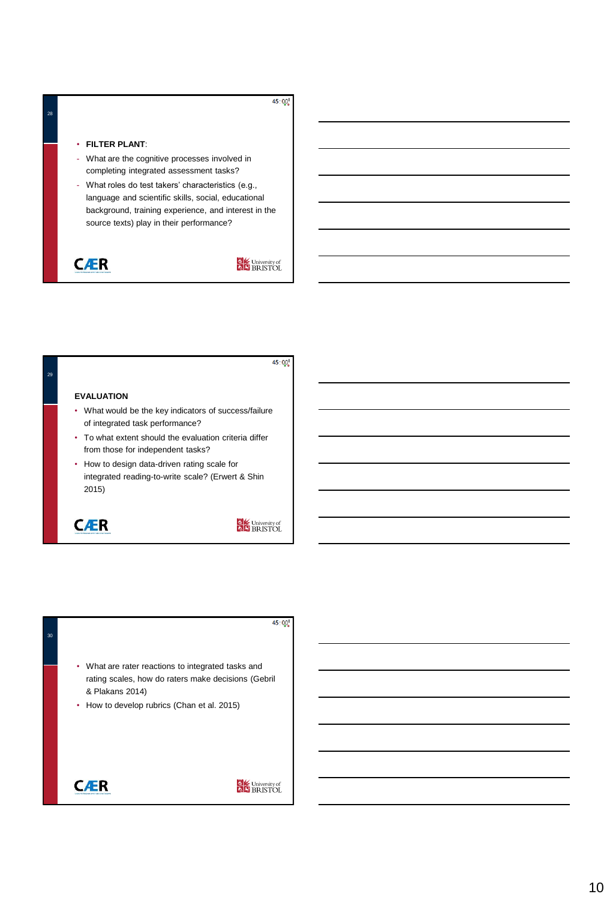#### $45:00^{8}$

#### • **FILTER PLANT**:

- What are the cognitive processes involved in completing integrated assessment tasks?
- What roles do test takers' characteristics (e.g., language and scientific skills, social, educational background, training experience, and interest in the source texts) play in their performance?

**CÆR** 



 $45:00^{8}$ 30• What are rater reactions to integrated tasks and rating scales, how do raters make decisions (Gebril & Plakans 2014) • How to develop rubrics (Chan et al. 2015) **CÆR** University of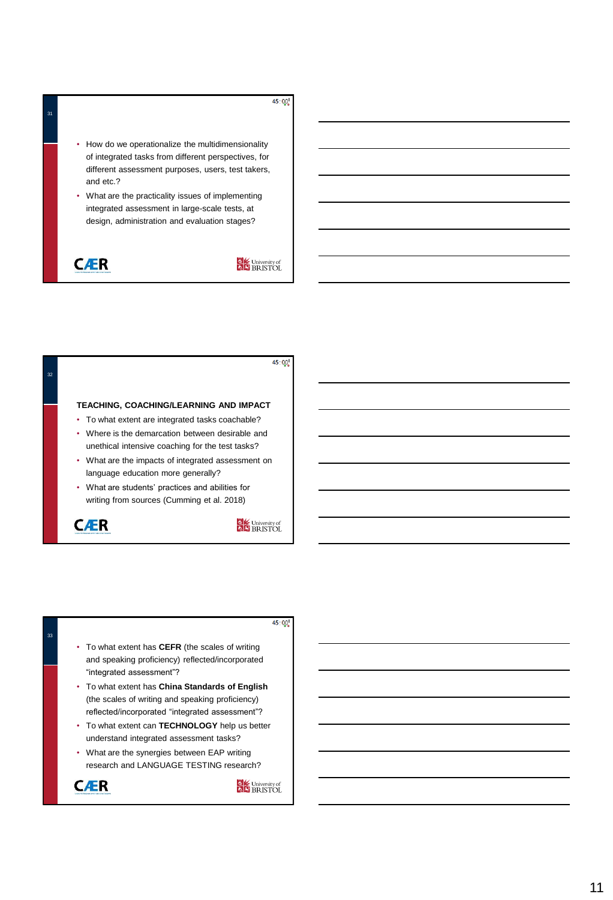#### $45:00^{8}$

- How do we operationalize the multidimensionality of integrated tasks from different perspectives, for different assessment purposes, users, test takers, and etc.?
- What are the practicality issues of implementing integrated assessment in large-scale tests, at design, administration and evaluation stages?

# **CÆR**

## University of



 $45:00^{8}$ 

- To what extent has **CEFR** (the scales of writing and speaking proficiency) reflected/incorporated "integrated assessment"?
- To what extent has **China Standards of English**  (the scales of writing and speaking proficiency) reflected/incorporated "integrated assessment"?
- To what extent can **TECHNOLOGY** help us better understand integrated assessment tasks?
- What are the synergies between EAP writing research and LANGUAGE TESTING research?



33